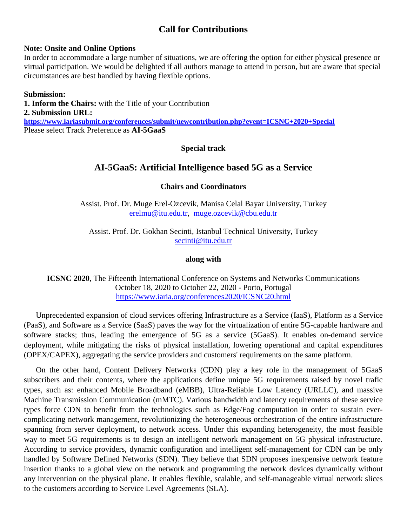# **Call for Contributions**

#### **Note: Onsite and Online Options**

In order to accommodate a large number of situations, we are offering the option for either physical presence or virtual participation. We would be delighted if all authors manage to attend in person, but are aware that special circumstances are best handled by having flexible options.

#### **Submission:**

**1. Inform the Chairs:** with the Title of your Contribution **2. Submission URL: <https://www.iariasubmit.org/conferences/submit/newcontribution.php?event=ICSNC+2020+Special>** Please select Track Preference as **AI-5GaaS**

### **Special track**

# **AI-5GaaS: Artificial Intelligence based 5G as a Service**

### **Chairs and Coordinators**

Assist. Prof. Dr. Muge Erel-Ozcevik, Manisa Celal Bayar University, Turkey [erelmu@itu.edu.tr](mailto:erelmu@itu.edu.tr), [muge.ozcevik@cbu.edu.tr](mailto:muge.ozcevik@cbu.edu.tr)

Assist. Prof. Dr. Gokhan Secinti, Istanbul Technical University, Turkey [secinti@itu.edu.tr](mailto:secinti@itu.edu.tr)

#### **along with**

**ICSNC 2020**, The Fifteenth International Conference on Systems and Networks Communications October 18, 2020 to October 22, 2020 - Porto, Portugal <https://www.iaria.org/conferences2020/ICSNC20.html>

Unprecedented expansion of cloud services offering Infrastructure as a Service (IaaS), Platform as a Service (PaaS), and Software as a Service (SaaS) paves the way for the virtualization of entire 5G-capable hardware and software stacks; thus, leading the emergence of 5G as a service (5GaaS). It enables on-demand service deployment, while mitigating the risks of physical installation, lowering operational and capital expenditures (OPEX/CAPEX), aggregating the service providers and customers' requirements on the same platform.

On the other hand, Content Delivery Networks (CDN) play a key role in the management of 5GaaS subscribers and their contents, where the applications define unique 5G requirements raised by novel trafic types, such as: enhanced Mobile Broadband (eMBB), Ultra-Reliable Low Latency (URLLC), and massive Machine Transmission Communication (mMTC). Various bandwidth and latency requirements of these service types force CDN to benefit from the technologies such as Edge/Fog computation in order to sustain evercomplicating network management, revolutionizing the heterogeneous orchestration of the entire infrastructure spanning from server deployment, to network access. Under this expanding heterogeneity, the most feasible way to meet 5G requirements is to design an intelligent network management on 5G physical infrastructure. According to service providers, dynamic configuration and intelligent self-management for CDN can be only handled by Software Defined Networks (SDN). They believe that SDN proposes inexpensive network feature insertion thanks to a global view on the network and programming the network devices dynamically without any intervention on the physical plane. It enables flexible, scalable, and self-manageable virtual network slices to the customers according to Service Level Agreements (SLA).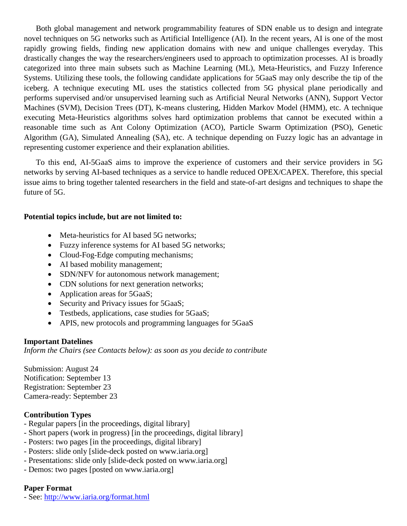Both global management and network programmability features of SDN enable us to design and integrate novel techniques on 5G networks such as Artificial Intelligence (AI). In the recent years, AI is one of the most rapidly growing fields, finding new application domains with new and unique challenges everyday. This drastically changes the way the researchers/engineers used to approach to optimization processes. AI is broadly categorized into three main subsets such as Machine Learning (ML), Meta-Heuristics, and Fuzzy Inference Systems. Utilizing these tools, the following candidate applications for 5GaaS may only describe the tip of the iceberg. A technique executing ML uses the statistics collected from 5G physical plane periodically and performs supervised and/or unsupervised learning such as Artificial Neural Networks (ANN), Support Vector Machines (SVM), Decision Trees (DT), K-means clustering, Hidden Markov Model (HMM), etc. A technique executing Meta-Heuristics algorithms solves hard optimization problems that cannot be executed within a reasonable time such as Ant Colony Optimization (ACO), Particle Swarm Optimization (PSO), Genetic Algorithm (GA), Simulated Annealing (SA), etc. A technique depending on Fuzzy logic has an advantage in representing customer experience and their explanation abilities.

To this end, AI-5GaaS aims to improve the experience of customers and their service providers in 5G networks by serving AI-based techniques as a service to handle reduced OPEX/CAPEX. Therefore, this special issue aims to bring together talented researchers in the field and state-of-art designs and techniques to shape the future of 5G.

### **Potential topics include, but are not limited to:**

- Meta-heuristics for AI based 5G networks;
- Fuzzy inference systems for AI based 5G networks;
- Cloud-Fog-Edge computing mechanisms;
- AI based mobility management;
- SDN/NFV for autonomous network management;
- CDN solutions for next generation networks;
- Application areas for 5GaaS;
- Security and Privacy issues for 5GaaS;
- Testbeds, applications, case studies for 5GaaS;
- APIS, new protocols and programming languages for 5GaaS

### **Important Datelines**

*Inform the Chairs (see Contacts below): as soon as you decide to contribute*

Submission: August 24 Notification: September 13 Registration: September 23 Camera-ready: September 23

### **Contribution Types**

- Regular papers [in the proceedings, digital library]
- Short papers (work in progress) [in the proceedings, digital library]
- Posters: two pages [in the proceedings, digital library]
- Posters: slide only [slide-deck posted on www.iaria.org]
- Presentations: slide only [slide-deck posted on www.iaria.org]
- Demos: two pages [posted on www.iaria.org]

# **Paper Format**

- See: <http://www.iaria.org/format.html>